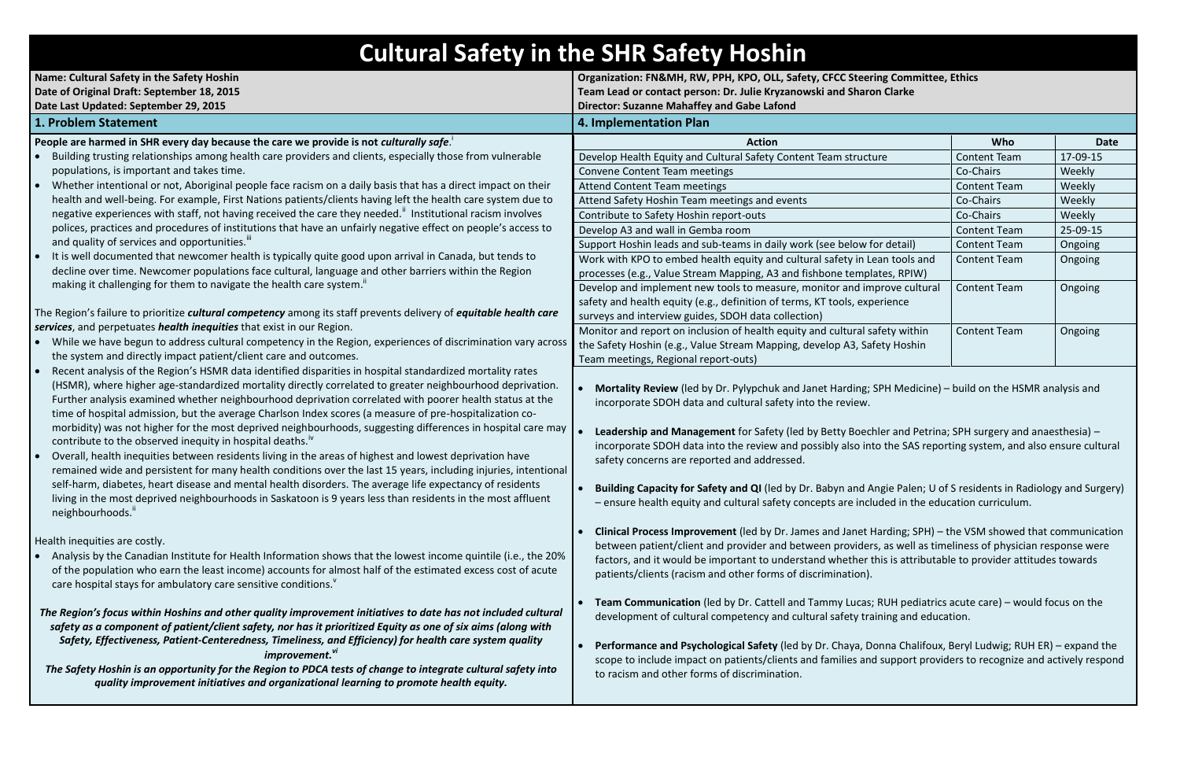# <span id="page-0-0"></span>**Cultural Safety in the SHR Safety Hoshin**

| <b>Name: Cultural Safety in the Safety Hoshin</b><br>Date of Original Draft: September 18, 2015                                                                                                                                                                                                                                                                                                                                              | Organization: FN&MH, RW, PPH, KPO, OLL, Safety, CFCC Steering Committee, Ethics<br>Team Lead or contact person: Dr. Julie Kryzanowski and Sharon Clarke<br><b>Director: Suzanne Mahaffey and Gabe Lafond</b>                                                                               |                     |          |
|----------------------------------------------------------------------------------------------------------------------------------------------------------------------------------------------------------------------------------------------------------------------------------------------------------------------------------------------------------------------------------------------------------------------------------------------|--------------------------------------------------------------------------------------------------------------------------------------------------------------------------------------------------------------------------------------------------------------------------------------------|---------------------|----------|
| Date Last Updated: September 29, 2015                                                                                                                                                                                                                                                                                                                                                                                                        |                                                                                                                                                                                                                                                                                            |                     |          |
| 1. Problem Statement                                                                                                                                                                                                                                                                                                                                                                                                                         | 4. Implementation Plan                                                                                                                                                                                                                                                                     |                     |          |
| People are harmed in SHR every day because the care we provide is not culturally safe.                                                                                                                                                                                                                                                                                                                                                       | <b>Action</b>                                                                                                                                                                                                                                                                              | Who                 |          |
| Building trusting relationships among health care providers and clients, especially those from vulnerable                                                                                                                                                                                                                                                                                                                                    | Develop Health Equity and Cultural Safety Content Team structure                                                                                                                                                                                                                           | <b>Content Team</b> | 17-09-15 |
| populations, is important and takes time.                                                                                                                                                                                                                                                                                                                                                                                                    | Convene Content Team meetings                                                                                                                                                                                                                                                              | Co-Chairs           | Weekly   |
| Whether intentional or not, Aboriginal people face racism on a daily basis that has a direct impact on their<br>$\bullet$                                                                                                                                                                                                                                                                                                                    | <b>Attend Content Team meetings</b>                                                                                                                                                                                                                                                        | <b>Content Team</b> | Weekly   |
| health and well-being. For example, First Nations patients/clients having left the health care system due to                                                                                                                                                                                                                                                                                                                                 | Attend Safety Hoshin Team meetings and events                                                                                                                                                                                                                                              | Co-Chairs           | Weekly   |
| negative experiences with staff, not having received the care they needed." Institutional racism involves                                                                                                                                                                                                                                                                                                                                    | Contribute to Safety Hoshin report-outs                                                                                                                                                                                                                                                    | Co-Chairs           | Weekly   |
| polices, practices and procedures of institutions that have an unfairly negative effect on people's access to                                                                                                                                                                                                                                                                                                                                | Develop A3 and wall in Gemba room                                                                                                                                                                                                                                                          | <b>Content Team</b> | 25-09-15 |
| and quality of services and opportunities."                                                                                                                                                                                                                                                                                                                                                                                                  | Support Hoshin leads and sub-teams in daily work (see below for detail)                                                                                                                                                                                                                    | <b>Content Team</b> | Ongoing  |
| • It is well documented that newcomer health is typically quite good upon arrival in Canada, but tends to                                                                                                                                                                                                                                                                                                                                    | Work with KPO to embed health equity and cultural safety in Lean tools and                                                                                                                                                                                                                 | <b>Content Team</b> | Ongoing  |
| decline over time. Newcomer populations face cultural, language and other barriers within the Region                                                                                                                                                                                                                                                                                                                                         | processes (e.g., Value Stream Mapping, A3 and fishbone templates, RPIW)                                                                                                                                                                                                                    |                     |          |
| making it challenging for them to navigate the health care system."                                                                                                                                                                                                                                                                                                                                                                          | Develop and implement new tools to measure, monitor and improve cultural                                                                                                                                                                                                                   | <b>Content Team</b> | Ongoing  |
|                                                                                                                                                                                                                                                                                                                                                                                                                                              | safety and health equity (e.g., definition of terms, KT tools, experience                                                                                                                                                                                                                  |                     |          |
| The Region's failure to prioritize cultural competency among its staff prevents delivery of equitable health care                                                                                                                                                                                                                                                                                                                            | surveys and interview guides, SDOH data collection)                                                                                                                                                                                                                                        |                     |          |
| services, and perpetuates health inequities that exist in our Region.                                                                                                                                                                                                                                                                                                                                                                        | Monitor and report on inclusion of health equity and cultural safety within                                                                                                                                                                                                                | <b>Content Team</b> | Ongoing  |
| • While we have begun to address cultural competency in the Region, experiences of discrimination vary across                                                                                                                                                                                                                                                                                                                                | the Safety Hoshin (e.g., Value Stream Mapping, develop A3, Safety Hoshin                                                                                                                                                                                                                   |                     |          |
| the system and directly impact patient/client care and outcomes.                                                                                                                                                                                                                                                                                                                                                                             | Team meetings, Regional report-outs)                                                                                                                                                                                                                                                       |                     |          |
| Recent analysis of the Region's HSMR data identified disparities in hospital standardized mortality rates<br>(HSMR), where higher age-standardized mortality directly correlated to greater neighbourhood deprivation.<br>Further analysis examined whether neighbourhood deprivation correlated with poorer health status at the<br>time of hospital admission, but the average Charlson Index scores (a measure of pre-hospitalization co- | Mortality Review (led by Dr. Pylypchuk and Janet Harding; SPH Medicine) - build on the HSMR analysis and<br>incorporate SDOH data and cultural safety into the review.                                                                                                                     |                     |          |
| morbidity) was not higher for the most deprived neighbourhoods, suggesting differences in hospital care may<br>contribute to the observed inequity in hospital deaths."<br>Overall, health inequities between residents living in the areas of highest and lowest deprivation have<br>$\bullet$<br>remained wide and persistent for many health conditions over the last 15 years, including injuries, intentional                           | Leadership and Management for Safety (led by Betty Boechler and Petrina; SPH surgery and anaesthesia) -<br>incorporate SDOH data into the review and possibly also into the SAS reporting system, and also ensure cult<br>safety concerns are reported and addressed.                      |                     |          |
| self-harm, diabetes, heart disease and mental health disorders. The average life expectancy of residents<br>living in the most deprived neighbourhoods in Saskatoon is 9 years less than residents in the most affluent<br>neighbourhoods.                                                                                                                                                                                                   | Building Capacity for Safety and QI (led by Dr. Babyn and Angie Palen; U of S residents in Radiology and Surg<br>- ensure health equity and cultural safety concepts are included in the education curriculum.                                                                             |                     |          |
| Health inequities are costly.                                                                                                                                                                                                                                                                                                                                                                                                                | <b>Clinical Process Improvement</b> (led by Dr. James and Janet Harding; SPH) - the VSM showed that communical<br>$\bullet$                                                                                                                                                                |                     |          |
| Analysis by the Canadian Institute for Health Information shows that the lowest income quintile (i.e., the 20%<br>of the population who earn the least income) accounts for almost half of the estimated excess cost of acute<br>care hospital stays for ambulatory care sensitive conditions.                                                                                                                                               | between patient/client and provider and between providers, as well as timeliness of physician response were<br>factors, and it would be important to understand whether this is attributable to provider attitudes towards<br>patients/clients (racism and other forms of discrimination). |                     |          |
| The Region's focus within Hoshins and other quality improvement initiatives to date has not included cultural<br>safety as a component of patient/client safety, nor has it prioritized Equity as one of six aims (along with                                                                                                                                                                                                                | Team Communication (led by Dr. Cattell and Tammy Lucas; RUH pediatrics acute care) - would focus on the<br>development of cultural competency and cultural safety training and education.                                                                                                  |                     |          |
| Safety, Effectiveness, Patient-Centeredness, Timeliness, and Efficiency) for health care system quality<br>improvement."<br>The Safety Hoshin is an opportunity for the Region to PDCA tests of change to integrate cultural safety into                                                                                                                                                                                                     | Performance and Psychological Safety (led by Dr. Chaya, Donna Chalifoux, Beryl Ludwig; RUH ER) - expand<br>scope to include impact on patients/clients and families and support providers to recognize and actively res<br>to racism and other forms of discrimination.                    |                     |          |

*quality improvement initiatives and organizational learning to promote health equity.*

## **Pring Committee, Ethics Team Clarke**

| <b>Action</b>                                                                    | Who                 | Date     |
|----------------------------------------------------------------------------------|---------------------|----------|
| Safety Content Team structure                                                    | <b>Content Team</b> | 17-09-15 |
|                                                                                  | Co-Chairs           | Weekly   |
|                                                                                  | <b>Content Team</b> | Weekly   |
| s and events                                                                     | Co-Chairs           | Weekly   |
| outs                                                                             | Co-Chairs           | Weekly   |
|                                                                                  | <b>Content Team</b> | 25-09-15 |
| s in daily work (see below for detail)                                           | <b>Content Team</b> | Ongoing  |
| uity and cultural safety in Lean tools and                                       | <b>Content Team</b> | Ongoing  |
| ing, A3 and fishbone templates, RPIW)                                            |                     |          |
| o measure, monitor and improve cultural                                          | <b>Content Team</b> | Ongoing  |
| ition of terms, KT tools, experience                                             |                     |          |
| data collection)                                                                 |                     |          |
| nealth equity and cultural safety within<br>m Mapping, develop A3, Safety Hoshin | <b>Content Team</b> | Ongoing  |
| ls)                                                                              |                     |          |

**Leadera and Petrina; SPH surgery and anaesthesia) –** into the SAS reporting system, and also ensure cultural

**Angie Palen; U of S residents in Radiology and Surgery)** cluded in the education curriculum.

**C** Harding; SPH) – the VSM showed that communication ers, as well as timeliness of physician response were factors, this is attributable to provider attitudes towards

**Ponna Chalifoux, Beryl Ludwig; RUH ER) – expand the** ind support providers to recognize and actively respond